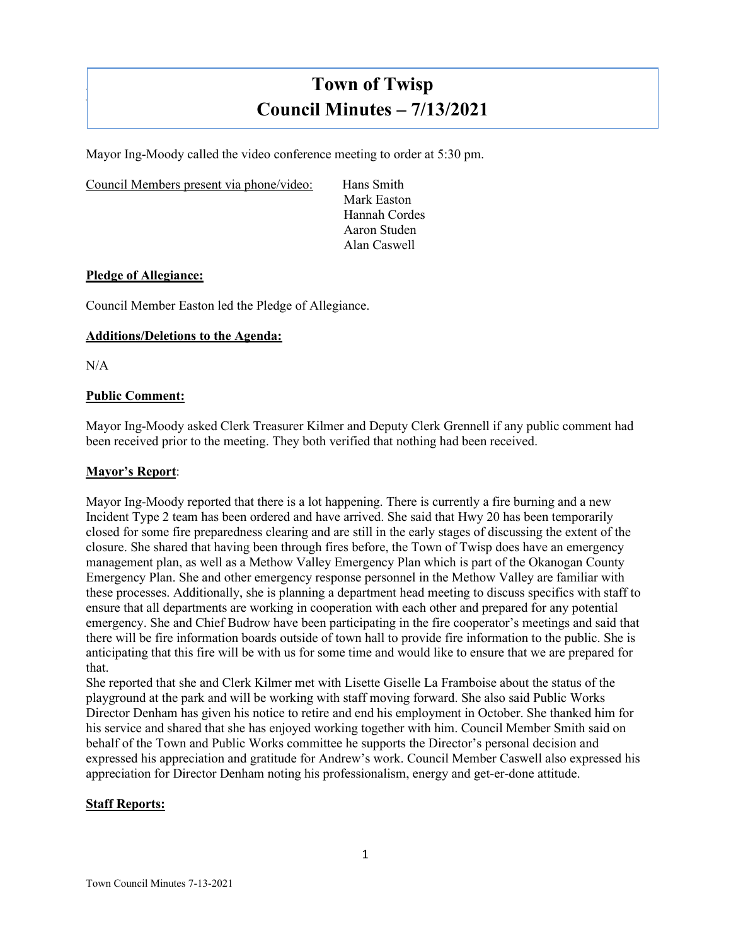# **Town of Twisp Council Minutes – 7/13/2021**

Mayor Ing-Moody called the video conference meeting to order at 5:30 pm.

Council Members present via phone/video: Hans Smith

Mark Easton Hannah Cordes Aaron Studen Alan Caswell

# **Pledge of Allegiance:**

Council Member Easton led the Pledge of Allegiance.

# **Additions/Deletions to the Agenda:**

N/A

]

## **Public Comment:**

Mayor Ing-Moody asked Clerk Treasurer Kilmer and Deputy Clerk Grennell if any public comment had been received prior to the meeting. They both verified that nothing had been received.

## **Mayor's Report**:

Mayor Ing-Moody reported that there is a lot happening. There is currently a fire burning and a new Incident Type 2 team has been ordered and have arrived. She said that Hwy 20 has been temporarily closed for some fire preparedness clearing and are still in the early stages of discussing the extent of the closure. She shared that having been through fires before, the Town of Twisp does have an emergency management plan, as well as a Methow Valley Emergency Plan which is part of the Okanogan County Emergency Plan. She and other emergency response personnel in the Methow Valley are familiar with these processes. Additionally, she is planning a department head meeting to discuss specifics with staff to ensure that all departments are working in cooperation with each other and prepared for any potential emergency. She and Chief Budrow have been participating in the fire cooperator's meetings and said that there will be fire information boards outside of town hall to provide fire information to the public. She is anticipating that this fire will be with us for some time and would like to ensure that we are prepared for that.

She reported that she and Clerk Kilmer met with Lisette Giselle La Framboise about the status of the playground at the park and will be working with staff moving forward. She also said Public Works Director Denham has given his notice to retire and end his employment in October. She thanked him for his service and shared that she has enjoyed working together with him. Council Member Smith said on behalf of the Town and Public Works committee he supports the Director's personal decision and expressed his appreciation and gratitude for Andrew's work. Council Member Caswell also expressed his appreciation for Director Denham noting his professionalism, energy and get-er-done attitude.

# **Staff Reports:**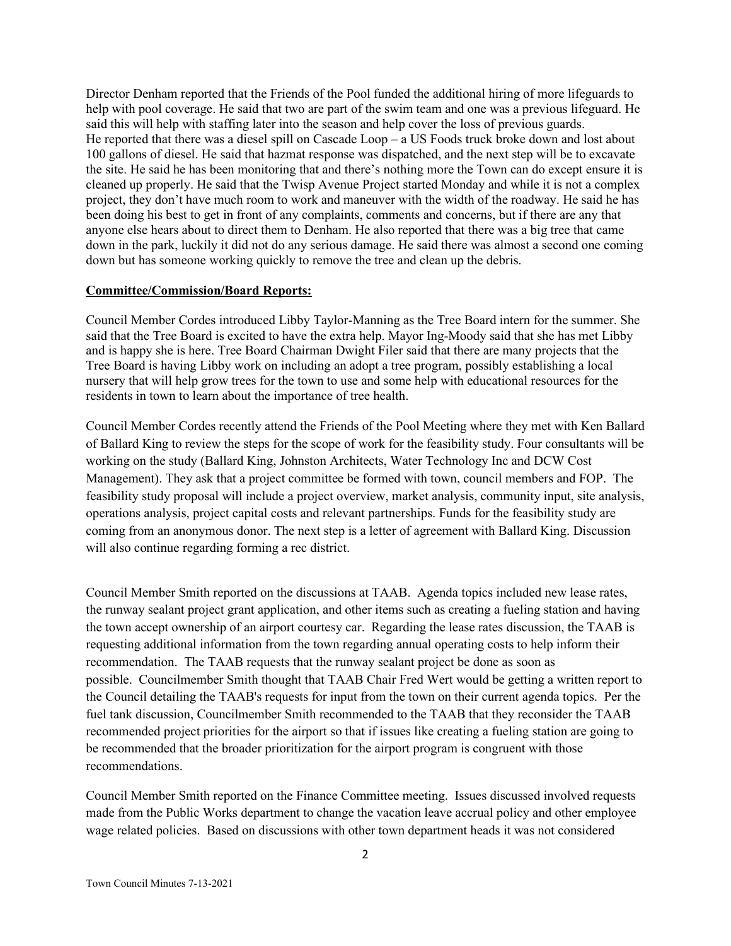Director Denham reported that the Friends of the Pool funded the additional hiring of more lifeguards to help with pool coverage. He said that two are part of the swim team and one was a previous lifeguard. He said this will help with staffing later into the season and help cover the loss of previous guards. He reported that there was a diesel spill on Cascade Loop – a US Foods truck broke down and lost about 100 gallons of diesel. He said that hazmat response was dispatched, and the next step will be to excavate the site. He said he has been monitoring that and there's nothing more the Town can do except ensure it is cleaned up properly. He said that the Twisp Avenue Project started Monday and while it is not a complex project, they don't have much room to work and maneuver with the width of the roadway. He said he has been doing his best to get in front of any complaints, comments and concerns, but if there are any that anyone else hears about to direct them to Denham. He also reported that there was a big tree that came down in the park, luckily it did not do any serious damage. He said there was almost a second one coming down but has someone working quickly to remove the tree and clean up the debris.

## **Committee/Commission/Board Reports:**

Council Member Cordes introduced Libby Taylor-Manning as the Tree Board intern for the summer. She said that the Tree Board is excited to have the extra help. Mayor Ing-Moody said that she has met Libby and is happy she is here. Tree Board Chairman Dwight Filer said that there are many projects that the Tree Board is having Libby work on including an adopt a tree program, possibly establishing a local nursery that will help grow trees for the town to use and some help with educational resources for the residents in town to learn about the importance of tree health.

Council Member Cordes recently attend the Friends of the Pool Meeting where they met with Ken Ballard of Ballard King to review the steps for the scope of work for the feasibility study. Four consultants will be working on the study (Ballard King, Johnston Architects, Water Technology Inc and DCW Cost Management). They ask that a project committee be formed with town, council members and FOP. The feasibility study proposal will include a project overview, market analysis, community input, site analysis, operations analysis, project capital costs and relevant partnerships. Funds for the feasibility study are coming from an anonymous donor. The next step is a letter of agreement with Ballard King. Discussion will also continue regarding forming a rec district.

Council Member Smith reported on the discussions at TAAB. Agenda topics included new lease rates, the runway sealant project grant application, and other items such as creating a fueling station and having the town accept ownership of an airport courtesy car. Regarding the lease rates discussion, the TAAB is requesting additional information from the town regarding annual operating costs to help inform their recommendation. The TAAB requests that the runway sealant project be done as soon as possible. Councilmember Smith thought that TAAB Chair Fred Wert would be getting a written report to the Council detailing the TAAB's requests for input from the town on their current agenda topics. Per the fuel tank discussion, Councilmember Smith recommended to the TAAB that they reconsider the TAAB recommended project priorities for the airport so that if issues like creating a fueling station are going to be recommended that the broader prioritization for the airport program is congruent with those recommendations.

Council Member Smith reported on the Finance Committee meeting. Issues discussed involved requests made from the Public Works department to change the vacation leave accrual policy and other employee wage related policies. Based on discussions with other town department heads it was not considered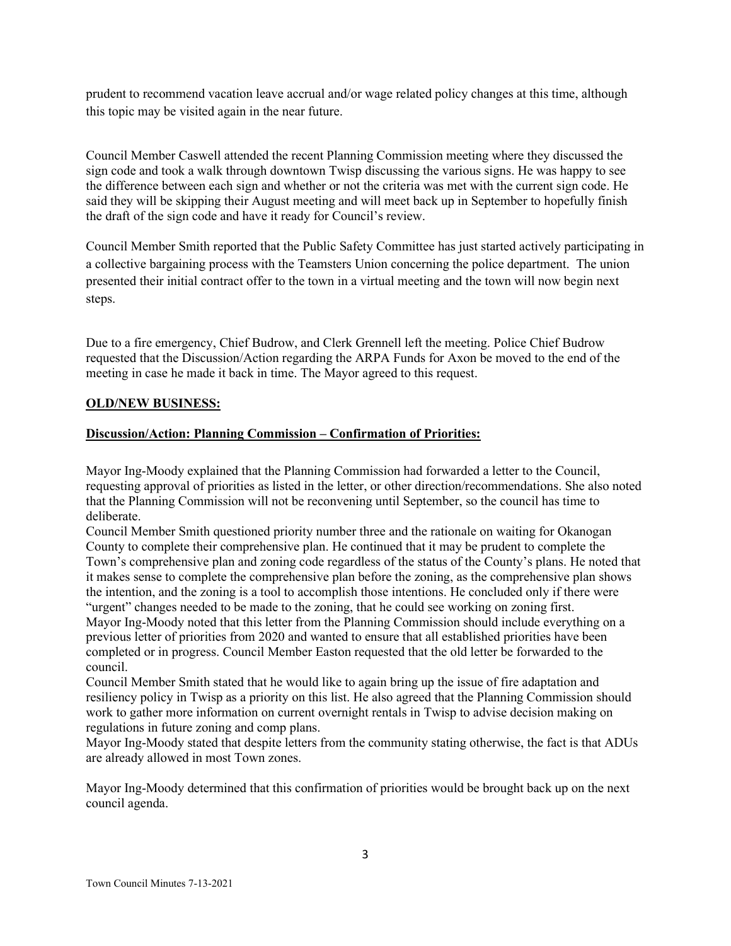prudent to recommend vacation leave accrual and/or wage related policy changes at this time, although this topic may be visited again in the near future.

Council Member Caswell attended the recent Planning Commission meeting where they discussed the sign code and took a walk through downtown Twisp discussing the various signs. He was happy to see the difference between each sign and whether or not the criteria was met with the current sign code. He said they will be skipping their August meeting and will meet back up in September to hopefully finish the draft of the sign code and have it ready for Council's review.

Council Member Smith reported that the Public Safety Committee has just started actively participating in a collective bargaining process with the Teamsters Union concerning the police department. The union presented their initial contract offer to the town in a virtual meeting and the town will now begin next steps.

Due to a fire emergency, Chief Budrow, and Clerk Grennell left the meeting. Police Chief Budrow requested that the Discussion/Action regarding the ARPA Funds for Axon be moved to the end of the meeting in case he made it back in time. The Mayor agreed to this request.

# **OLD/NEW BUSINESS:**

# **Discussion/Action: Planning Commission – Confirmation of Priorities:**

Mayor Ing-Moody explained that the Planning Commission had forwarded a letter to the Council, requesting approval of priorities as listed in the letter, or other direction/recommendations. She also noted that the Planning Commission will not be reconvening until September, so the council has time to deliberate.

Council Member Smith questioned priority number three and the rationale on waiting for Okanogan County to complete their comprehensive plan. He continued that it may be prudent to complete the Town's comprehensive plan and zoning code regardless of the status of the County's plans. He noted that it makes sense to complete the comprehensive plan before the zoning, as the comprehensive plan shows the intention, and the zoning is a tool to accomplish those intentions. He concluded only if there were "urgent" changes needed to be made to the zoning, that he could see working on zoning first. Mayor Ing-Moody noted that this letter from the Planning Commission should include everything on a previous letter of priorities from 2020 and wanted to ensure that all established priorities have been completed or in progress. Council Member Easton requested that the old letter be forwarded to the council.

Council Member Smith stated that he would like to again bring up the issue of fire adaptation and resiliency policy in Twisp as a priority on this list. He also agreed that the Planning Commission should work to gather more information on current overnight rentals in Twisp to advise decision making on regulations in future zoning and comp plans.

Mayor Ing-Moody stated that despite letters from the community stating otherwise, the fact is that ADUs are already allowed in most Town zones.

Mayor Ing-Moody determined that this confirmation of priorities would be brought back up on the next council agenda.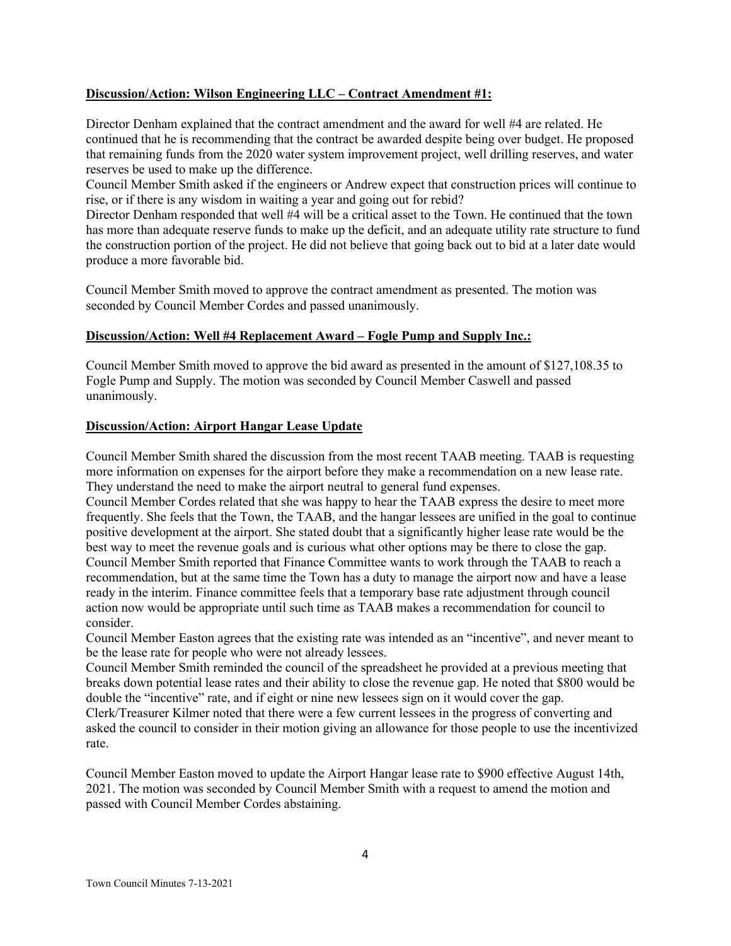# **Discussion/Action: Wilson Engineering LLC – Contract Amendment #1:**

Director Denham explained that the contract amendment and the award for well #4 are related. He continued that he is recommending that the contract be awarded despite being over budget. He proposed that remaining funds from the 2020 water system improvement project, well drilling reserves, and water reserves be used to make up the difference.

Council Member Smith asked if the engineers or Andrew expect that construction prices will continue to rise, or if there is any wisdom in waiting a year and going out for rebid?

Director Denham responded that well #4 will be a critical asset to the Town. He continued that the town has more than adequate reserve funds to make up the deficit, and an adequate utility rate structure to fund the construction portion of the project. He did not believe that going back out to bid at a later date would produce a more favorable bid.

Council Member Smith moved to approve the contract amendment as presented. The motion was seconded by Council Member Cordes and passed unanimously.

# **Discussion/Action: Well #4 Replacement Award – Fogle Pump and Supply Inc.:**

Council Member Smith moved to approve the bid award as presented in the amount of \$127,108.35 to Fogle Pump and Supply. The motion was seconded by Council Member Caswell and passed unanimously.

# **Discussion/Action: Airport Hangar Lease Update**

Council Member Smith shared the discussion from the most recent TAAB meeting. TAAB is requesting more information on expenses for the airport before they make a recommendation on a new lease rate. They understand the need to make the airport neutral to general fund expenses.

Council Member Cordes related that she was happy to hear the TAAB express the desire to meet more frequently. She feels that the Town, the TAAB, and the hangar lessees are unified in the goal to continue positive development at the airport. She stated doubt that a significantly higher lease rate would be the best way to meet the revenue goals and is curious what other options may be there to close the gap. Council Member Smith reported that Finance Committee wants to work through the TAAB to reach a recommendation, but at the same time the Town has a duty to manage the airport now and have a lease ready in the interim. Finance committee feels that a temporary base rate adjustment through council action now would be appropriate until such time as TAAB makes a recommendation for council to consider.

Council Member Easton agrees that the existing rate was intended as an "incentive", and never meant to be the lease rate for people who were not already lessees.

Council Member Smith reminded the council of the spreadsheet he provided at a previous meeting that breaks down potential lease rates and their ability to close the revenue gap. He noted that \$800 would be double the "incentive" rate, and if eight or nine new lessees sign on it would cover the gap.

Clerk/Treasurer Kilmer noted that there were a few current lessees in the progress of converting and asked the council to consider in their motion giving an allowance for those people to use the incentivized rate.

Council Member Easton moved to update the Airport Hangar lease rate to \$900 effective August 14th, 2021. The motion was seconded by Council Member Smith with a request to amend the motion and passed with Council Member Cordes abstaining.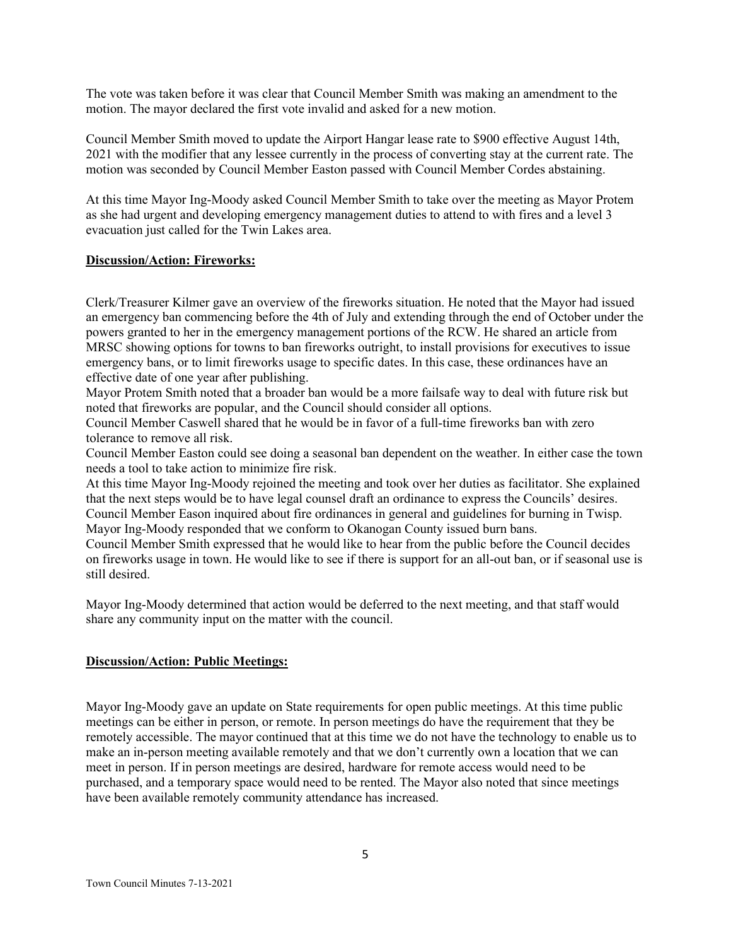The vote was taken before it was clear that Council Member Smith was making an amendment to the motion. The mayor declared the first vote invalid and asked for a new motion.

Council Member Smith moved to update the Airport Hangar lease rate to \$900 effective August 14th, 2021 with the modifier that any lessee currently in the process of converting stay at the current rate. The motion was seconded by Council Member Easton passed with Council Member Cordes abstaining.

At this time Mayor Ing-Moody asked Council Member Smith to take over the meeting as Mayor Protem as she had urgent and developing emergency management duties to attend to with fires and a level 3 evacuation just called for the Twin Lakes area.

## **Discussion/Action: Fireworks:**

Clerk/Treasurer Kilmer gave an overview of the fireworks situation. He noted that the Mayor had issued an emergency ban commencing before the 4th of July and extending through the end of October under the powers granted to her in the emergency management portions of the RCW. He shared an article from MRSC showing options for towns to ban fireworks outright, to install provisions for executives to issue emergency bans, or to limit fireworks usage to specific dates. In this case, these ordinances have an effective date of one year after publishing.

Mayor Protem Smith noted that a broader ban would be a more failsafe way to deal with future risk but noted that fireworks are popular, and the Council should consider all options.

Council Member Caswell shared that he would be in favor of a full-time fireworks ban with zero tolerance to remove all risk.

Council Member Easton could see doing a seasonal ban dependent on the weather. In either case the town needs a tool to take action to minimize fire risk.

At this time Mayor Ing-Moody rejoined the meeting and took over her duties as facilitator. She explained that the next steps would be to have legal counsel draft an ordinance to express the Councils' desires. Council Member Eason inquired about fire ordinances in general and guidelines for burning in Twisp. Mayor Ing-Moody responded that we conform to Okanogan County issued burn bans.

Council Member Smith expressed that he would like to hear from the public before the Council decides on fireworks usage in town. He would like to see if there is support for an all-out ban, or if seasonal use is still desired.

Mayor Ing-Moody determined that action would be deferred to the next meeting, and that staff would share any community input on the matter with the council.

## **Discussion/Action: Public Meetings:**

Mayor Ing-Moody gave an update on State requirements for open public meetings. At this time public meetings can be either in person, or remote. In person meetings do have the requirement that they be remotely accessible. The mayor continued that at this time we do not have the technology to enable us to make an in-person meeting available remotely and that we don't currently own a location that we can meet in person. If in person meetings are desired, hardware for remote access would need to be purchased, and a temporary space would need to be rented. The Mayor also noted that since meetings have been available remotely community attendance has increased.